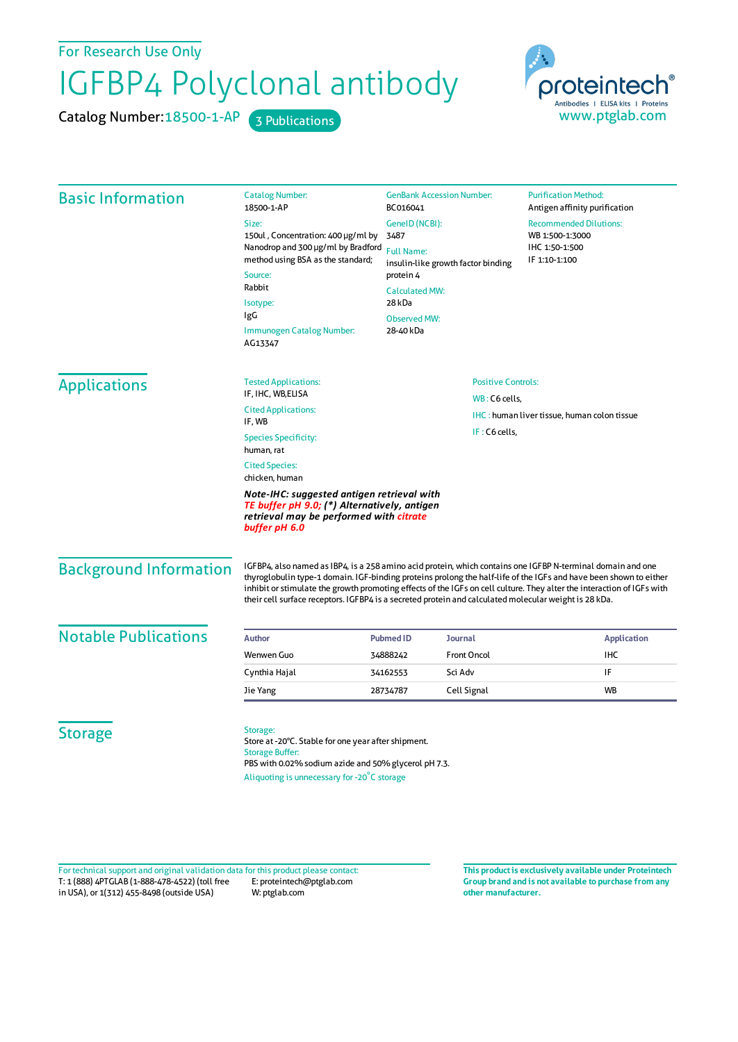For Research Use Only

## IGFBP4 Polyclonal antibody

Catalog Number: 18500-1-AP 3 Publications



| <b>Basic Information</b>      | <b>Catalog Number:</b><br>18500-1-AP<br>Size:<br>150ul, Concentration: 400 µg/ml by<br>Nanodrop and 300 µg/ml by Bradford<br>method using BSA as the standard;<br>Source:<br>Rabbit<br>Isotype:<br>IgG<br>Immunogen Catalog Number:<br>AG13347                                                                                                                                                                                                                      | <b>GenBank Accession Number:</b><br>BC016041<br>GenelD (NCBI):<br>3487<br><b>Full Name:</b><br>insulin-like growth factor binding<br>protein 4<br><b>Calculated MW:</b><br>28 kDa<br><b>Observed MW:</b><br>28-40 kDa |                    | <b>Purification Method:</b><br>Antigen affinity purification<br><b>Recommended Dilutions:</b><br>WB 1:500-1:3000<br>IHC 1:50-1:500<br>IF 1:10-1:100 |
|-------------------------------|---------------------------------------------------------------------------------------------------------------------------------------------------------------------------------------------------------------------------------------------------------------------------------------------------------------------------------------------------------------------------------------------------------------------------------------------------------------------|-----------------------------------------------------------------------------------------------------------------------------------------------------------------------------------------------------------------------|--------------------|-----------------------------------------------------------------------------------------------------------------------------------------------------|
| <b>Applications</b>           | <b>Tested Applications:</b><br>IF, IHC, WB, ELISA<br><b>Cited Applications:</b><br>IF, WB<br><b>Species Specificity:</b><br>human, rat<br><b>Cited Species:</b><br>chicken, human<br>Note-IHC: suggested antigen retrieval with<br>TE buffer pH 9.0; (*) Alternatively, antigen<br>retrieval may be performed with citrate<br>buffer pH 6.0                                                                                                                         | <b>Positive Controls:</b><br>WB: C6 cells,<br><b>IHC:</b> human liver tissue, human colon tissue<br>IF: C6 cells,                                                                                                     |                    |                                                                                                                                                     |
| <b>Background Information</b> | IGFBP4, also named as IBP4, is a 258 amino acid protein, which contains one IGFBP N-terminal domain and one<br>thyroglobulin type-1 domain. IGF-binding proteins prolong the half-life of the IGFs and have been shown to either<br>inhibit or stimulate the growth promoting effects of the IGFs on cell culture. They alter the interaction of IGFs with<br>their cell surface receptors. IGFBP4 is a secreted protein and calculated molecular weight is 28 kDa. |                                                                                                                                                                                                                       |                    |                                                                                                                                                     |
| <b>Notable Publications</b>   | Author                                                                                                                                                                                                                                                                                                                                                                                                                                                              | <b>Pubmed ID</b>                                                                                                                                                                                                      | <b>Journal</b>     | <b>Application</b>                                                                                                                                  |
|                               | Wenwen Guo                                                                                                                                                                                                                                                                                                                                                                                                                                                          | 34888242                                                                                                                                                                                                              | <b>Front Oncol</b> | <b>IHC</b>                                                                                                                                          |
|                               | Cynthia Hajal                                                                                                                                                                                                                                                                                                                                                                                                                                                       | 34162553                                                                                                                                                                                                              | Sci Adv            | IF                                                                                                                                                  |
|                               | Jie Yang                                                                                                                                                                                                                                                                                                                                                                                                                                                            | 28734787                                                                                                                                                                                                              | Cell Signal        | WB                                                                                                                                                  |
| <b>Storage</b>                | Storage:<br>Store at -20°C. Stable for one year after shipment.<br><b>Storage Buffer:</b><br>PBS with 0.02% sodium azide and 50% glycerol pH 7.3.<br>Aliquoting is unnecessary for -20°C storage                                                                                                                                                                                                                                                                    |                                                                                                                                                                                                                       |                    |                                                                                                                                                     |

T: 1 (888) 4PTGLAB (1-888-478-4522) (toll free in USA), or 1(312) 455-8498 (outside USA) E: proteintech@ptglab.com W: ptglab.com Fortechnical support and original validation data forthis product please contact: **This productis exclusively available under Proteintech**

**Group brand and is not available to purchase from any other manufacturer.**